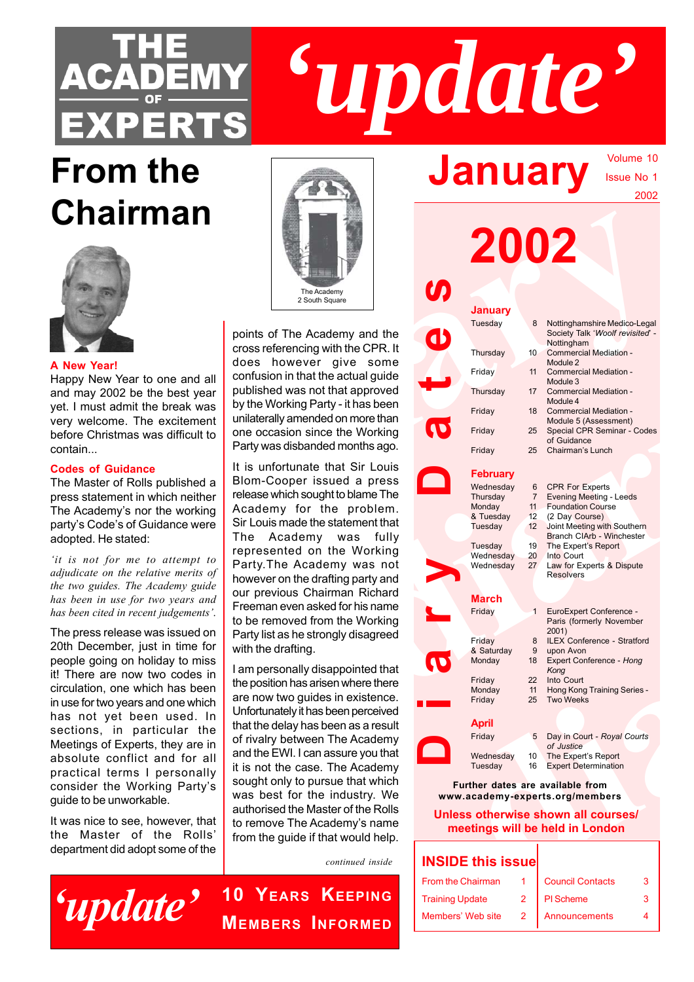

# **From the January Chairman**



**A New Year!**

Happy New Year to one and all and may 2002 be the best year yet. I must admit the break was very welcome. The excitement before Christmas was difficult to contain...

### **Codes of Guidance**

The Master of Rolls published a press statement in which neither The Academy's nor the working party's Code's of Guidance were adopted. He stated:

*'it is not for me to attempt to adjudicate on the relative merits of the two guides. The Academy guide has been in use for two years and has been cited in recent judgements'*.

The press release was issued on 20th December, just in time for people going on holiday to miss it! There are now two codes in circulation, one which has been in use for two years and one which has not yet been used. In sections, in particular the Meetings of Experts, they are in absolute conflict and for all practical terms I personally consider the Working Party's guide to be unworkable.

It was nice to see, however, that the Master of the Rolls' department did adopt some of the





*'update'*

Volume 10 Issue No 1

2002

|                                                                  |                                     | 2002                               |                     | zuuz                                                                           |  |  |
|------------------------------------------------------------------|-------------------------------------|------------------------------------|---------------------|--------------------------------------------------------------------------------|--|--|
| The Academy<br>2 South Square                                    | <b>SP</b>                           |                                    |                     |                                                                                |  |  |
|                                                                  |                                     | <b>January</b>                     |                     |                                                                                |  |  |
| points of The Academy and the                                    | <b>d</b>                            | Tuesday                            |                     | Nottinghamshire Medico-Legal<br>Society Talk 'Woolf revisited' -<br>Nottingham |  |  |
| cross referencing with the CPR. It                               |                                     | Thursday                           |                     | 10 Commercial Mediation -                                                      |  |  |
| does however give some                                           | Friday                              |                                    |                     | Module 2<br>11 Commercial Mediation -                                          |  |  |
| confusion in that the actual guide                               |                                     |                                    |                     | Module 3                                                                       |  |  |
| bublished was not that approved                                  |                                     | Thursday                           |                     | 17 Commercial Mediation -<br>Module 4                                          |  |  |
| by the Working Party - it has been                               | Friday                              |                                    | 18                  | <b>Commercial Mediation -</b>                                                  |  |  |
| unilaterally amended on more than                                | $\boldsymbol{\sigma}$               |                                    |                     | Module 5 (Assessment)                                                          |  |  |
| one occasion since the Working                                   | Friday                              |                                    |                     | 25 Special CPR Seminar - Codes<br>of Guidance                                  |  |  |
| Party was disbanded months ago.                                  | Friday                              |                                    |                     | 25 Chairman's Lunch                                                            |  |  |
| t is unfortunate that Sir Louis                                  |                                     |                                    |                     |                                                                                |  |  |
| Blom-Cooper issued a press                                       | $\bullet$                           | <b>February</b>                    |                     |                                                                                |  |  |
| elease which sought to blame The                                 |                                     | Wednesday<br>Thursday              | 6<br>$7\phantom{.}$ | <b>CPR For Experts</b><br><b>Evening Meeting - Leeds</b>                       |  |  |
| Academy for the problem.                                         |                                     | Monday                             |                     | 11 Foundation Course                                                           |  |  |
| Sir Louis made the statement that                                |                                     | & Tuesday                          |                     | 12 (2 Day Course)                                                              |  |  |
| The Academy was fully                                            |                                     | Tuesday                            |                     | 12 Joint Meeting with Southern<br>Branch CIArb - Winchester                    |  |  |
| epresented on the Working                                        |                                     | 19<br>Tuesday                      |                     | The Expert's Report                                                            |  |  |
| Party. The Academy was not                                       |                                     | Wednesday<br>20<br>27 <sup>7</sup> |                     | Into Court                                                                     |  |  |
| nowever on the drafting party and                                |                                     | Wednesday                          |                     | Law for Experts & Dispute<br><b>Resolvers</b>                                  |  |  |
|                                                                  |                                     |                                    |                     |                                                                                |  |  |
| our previous Chairman Richard                                    |                                     | <b>March</b>                       |                     |                                                                                |  |  |
| Freeman even asked for his name<br>o be removed from the Working | Friday                              |                                    |                     | EuroExpert Conference -<br>Paris (formerly November                            |  |  |
| Party list as he strongly disagreed                              | Friday                              |                                    | 8                   | 2001)<br>ILEX Conference - Stratford                                           |  |  |
| with the drafting.                                               |                                     | & Saturday                         | 9                   | upon Avon                                                                      |  |  |
| am personally disappointed that                                  | Ø                                   | Monday                             |                     | 18 Expert Conference - Hong<br>Kong                                            |  |  |
| he position has arisen where there                               | Friday                              | 22                                 |                     | Into Court                                                                     |  |  |
| are now two guides in existence.                                 |                                     | Monday<br>11                       |                     | Hong Kong Training Series -                                                    |  |  |
| Jnfortunately it has been perceived                              | Friday                              | 25                                 |                     | <b>Two Weeks</b>                                                               |  |  |
| hat the delay has been as a result                               | <b>April</b>                        |                                    |                     |                                                                                |  |  |
|                                                                  | Friday                              |                                    | 5                   | Day in Court - Royal Courts                                                    |  |  |
| of rivalry between The Academy                                   |                                     |                                    |                     | of Justice                                                                     |  |  |
| and the EWI. I can assure you that                               |                                     | Wednesday<br>10                    |                     | The Expert's Report                                                            |  |  |
| t is not the case. The Academy                                   |                                     | Tuesday<br>16                      |                     | <b>Expert Determination</b>                                                    |  |  |
| sought only to pursue that which                                 |                                     |                                    |                     | Further dates are available from                                               |  |  |
| was best for the industry. We                                    |                                     |                                    |                     | www.academy-experts.org/members                                                |  |  |
| authorised the Master of the Rolls                               | Unless otherwise shown all courses/ |                                    |                     |                                                                                |  |  |
| o remove The Academy's name                                      | meetings will be held in London     |                                    |                     |                                                                                |  |  |
| rom the guide if that would help.                                |                                     |                                    |                     |                                                                                |  |  |
|                                                                  |                                     |                                    |                     |                                                                                |  |  |
| continued inside                                                 | <b>INSIDE this issue</b>            |                                    |                     |                                                                                |  |  |
|                                                                  |                                     |                                    |                     | incil Contact                                                                  |  |  |

## **Further dates are available from www.academy-experts.org/members**

| <b>INSIDE this issue</b> |  |                         |  |
|--------------------------|--|-------------------------|--|
| From the Chairman        |  | <b>Council Contacts</b> |  |
| <b>Training Update</b>   |  | PI Scheme               |  |
| Members' Web site        |  | Announcements           |  |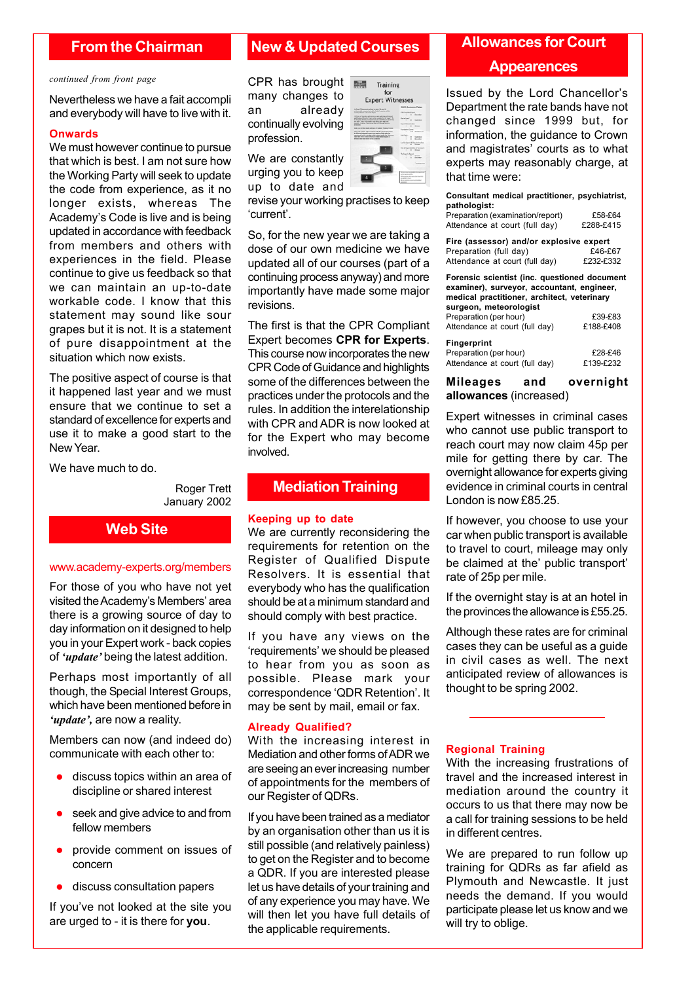## **From the Chairman**

#### *continued from front page*

Nevertheless we have a fait accompli and everybody will have to live with it.

#### **Onwards**

We must however continue to pursue that which is best. I am not sure how the Working Party will seek to update the code from experience, as it no longer exists, whereas The Academy's Code is live and is being updated in accordance with feedback from members and others with experiences in the field. Please continue to give us feedback so that we can maintain an up-to-date workable code. I know that this statement may sound like sour grapes but it is not. It is a statement of pure disappointment at the situation which now exists.

The positive aspect of course is that it happened last year and we must ensure that we continue to set a standard of excellence for experts and use it to make a good start to the New Year.

We have much to do.

Roger Trett January 2002

## **Web Site**

#### www.academy-experts.org/members

For those of you who have not yet visited the Academy's Members' area there is a growing source of day to day information on it designed to help you in your Expert work - back copies of *'update'* being the latest addition.

Perhaps most importantly of all though, the Special Interest Groups, which have been mentioned before in *'update',* are now a reality.

Members can now (and indeed do) communicate with each other to:

- discuss topics within an area of discipline or shared interest
- $\bullet$  seek and give advice to and from fellow members
- provide comment on issues of concern
- discuss consultation papers

If you've not looked at the site you are urged to - it is there for **you**.

## **New & Updated Courses**

CPR has brought  $\overline{\phantom{a}}$ many changes to an already continually evolving profession.

We are constantly urging you to keep up to date and

revise your working practises to keep 'current'.

So, for the new year we are taking a dose of our own medicine we have updated all of our courses (part of a continuing process anyway) and more importantly have made some major revisions.

The first is that the CPR Compliant Expert becomes **CPR for Experts**. This course now incorporates the new CPR Code of Guidance and highlights some of the differences between the practices under the protocols and the rules. In addition the interelationship with CPR and ADR is now looked at for the Expert who may become involved.

#### **Mediation Training**

#### **Keeping up to date**

We are currently reconsidering the requirements for retention on the Register of Qualified Dispute Resolvers. It is essential that everybody who has the qualification should be at a minimum standard and should comply with best practice.

If you have any views on the 'requirements' we should be pleased to hear from you as soon as possible. Please mark your correspondence 'QDR Retention'. It may be sent by mail, email or fax.

#### **Already Qualified?**

With the increasing interest in Mediation and other forms of ADR we are seeing an ever increasing number of appointments for the members of our Register of QDRs.

If you have been trained as a mediator by an organisation other than us it is still possible (and relatively painless) to get on the Register and to become a QDR. If you are interested please let us have details of your training and of any experience you may have. We will then let you have full details of the applicable requirements.

## **Allowances for Court**

#### **Appearences**

Issued by the Lord Chancellor's Department the rate bands have not changed since 1999 but, for information, the guidance to Crown and magistrates' courts as to what experts may reasonably charge, at that time were:

**Consultant medical practitioner, psychiatrist, pathologist:** Preparation (examination/report) £58-£64<br>Attendance at court (full day) £288-£415 Attendance at court (full day)

| Fire (assessor) and/or explosive expert |           |
|-----------------------------------------|-----------|
| Preparation (full day)                  | £46-£67   |
| Attendance at court (full day)          | £232-£332 |

**Forensic scientist (inc. questioned document examiner), surveyor, accountant, engineer, medical practitioner, architect, veterinary surgeon, meteorologist** Preparation (per hour) <br>Attendance at court (full day)  $f$ 188-£408  $A$ ttendance at court (full day)

| $\overline{\phantom{a}}$       | LIUU LTUU |
|--------------------------------|-----------|
| <b>Fingerprint</b>             |           |
| Preparation (per hour)         | £28-£46   |
| Attendance at court (full day) | £139-£232 |

**Mileages and overnight allowances** (increased)

Expert witnesses in criminal cases who cannot use public transport to reach court may now claim 45p per mile for getting there by car. The overnight allowance for experts giving evidence in criminal courts in central London is now £85.25.

If however, you choose to use your car when public transport is available to travel to court, mileage may only be claimed at the' public transport' rate of 25p per mile.

If the overnight stay is at an hotel in the provinces the allowance is £55.25.

Although these rates are for criminal cases they can be useful as a guide in civil cases as well. The next anticipated review of allowances is thought to be spring 2002.

#### **Regional Training**

With the increasing frustrations of travel and the increased interest in mediation around the country it occurs to us that there may now be a call for training sessions to be held in different centres.

We are prepared to run follow up training for QDRs as far afield as Plymouth and Newcastle. It just needs the demand. If you would participate please let us know and we will try to oblige.

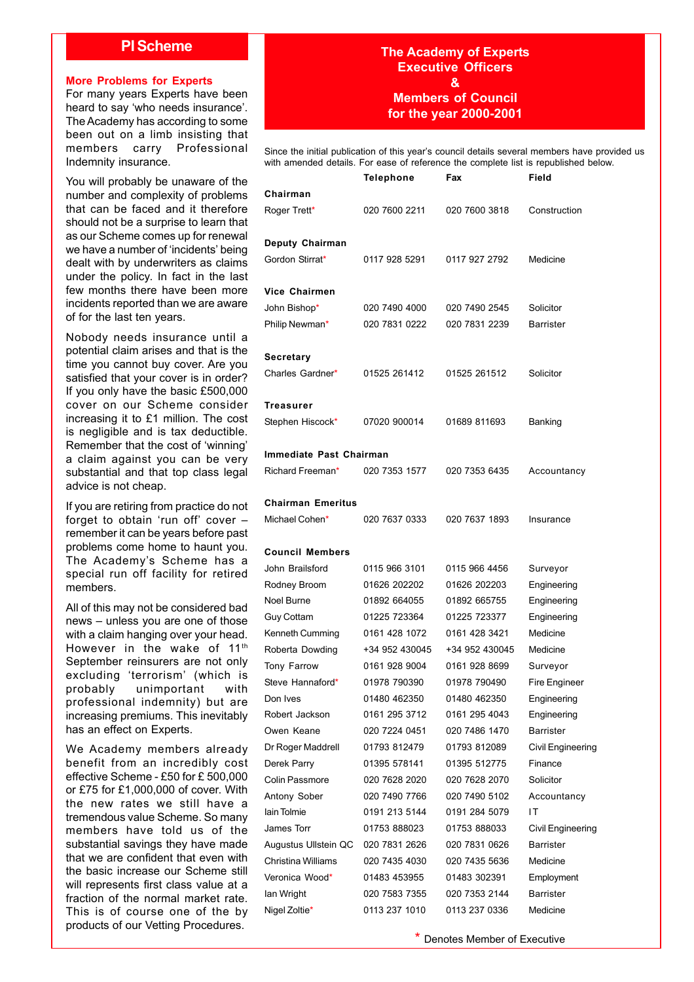### **PI Scheme**

#### **More Problems for Experts**

For many years Experts have been heard to say 'who needs insurance'. The Academy has according to some been out on a limb insisting that members carry Professional Indemnity insurance.

You will probably be unaware of the number and complexity of problems that can be faced and it therefore should not be a surprise to learn that as our Scheme comes up for renewal we have a number of 'incidents' being dealt with by underwriters as claims under the policy. In fact in the last few months there have been more incidents reported than we are aware of for the last ten years.

Nobody needs insurance until a potential claim arises and that is the time you cannot buy cover. Are you satisfied that your cover is in order? If you only have the basic £500,000 cover on our Scheme consider increasing it to £1 million. The cost is negligible and is tax deductible. Remember that the cost of 'winning' a claim against you can be very substantial and that top class legal advice is not cheap.

If you are retiring from practice do not forget to obtain 'run off' cover – remember it can be years before past problems come home to haunt you. The Academy's Scheme has a special run off facility for retired members.

All of this may not be considered bad news – unless you are one of those with a claim hanging over your head. However in the wake of 11<sup>th</sup> September reinsurers are not only excluding 'terrorism' (which is probably unimportant with professional indemnity) but are increasing premiums. This inevitably has an effect on Experts.

We Academy members already benefit from an incredibly cost effective Scheme - £50 for £ 500,000 or £75 for £1,000,000 of cover. With the new rates we still have a tremendous value Scheme. So many members have told us of the substantial savings they have made that we are confident that even with the basic increase our Scheme still will represents first class value at a fraction of the normal market rate. This is of course one of the by products of our Vetting Procedures.

## **The Academy of Experts Executive Officers & Members of Council for the year 2000-2001**

Since the initial publication of this year's council details several members have provided us with amended details. For ease of reference the complete list is republished below.

|                         | <b>Telephone</b> | Fax            | Field             |  |  |
|-------------------------|------------------|----------------|-------------------|--|--|
| Chairman                |                  |                |                   |  |  |
| Roger Trett*            | 020 7600 2211    | 020 7600 3818  | Construction      |  |  |
| Deputy Chairman         |                  |                |                   |  |  |
| Gordon Stirrat*         | 0117 928 5291    | 0117 927 2792  | Medicine          |  |  |
| Vice Chairmen           |                  |                |                   |  |  |
| John Bishop*            | 020 7490 4000    | 020 7490 2545  | Solicitor         |  |  |
| Philip Newman*          | 020 7831 0222    | 020 7831 2239  | <b>Barrister</b>  |  |  |
| Secretary               |                  |                |                   |  |  |
| Charles Gardner*        | 01525 261412     | 01525 261512   | Solicitor         |  |  |
| Treasurer               |                  |                |                   |  |  |
| Stephen Hiscock*        | 07020 900014     | 01689 811693   | Banking           |  |  |
| Immediate Past Chairman |                  |                |                   |  |  |
| Richard Freeman*        | 020 7353 1577    | 020 7353 6435  | Accountancy       |  |  |
| Chairman Emeritus       |                  |                |                   |  |  |
| Michael Cohen*          | 020 7637 0333    | 020 7637 1893  | Insurance         |  |  |
| Council Members         |                  |                |                   |  |  |
| John Brailsford         | 0115 966 3101    | 0115 966 4456  | Surveyor          |  |  |
| Rodney Broom            | 01626 202202     | 01626 202203   | Engineering       |  |  |
| Noel Burne              | 01892 664055     | 01892 665755   | Engineering       |  |  |
| Guy Cottam              | 01225 723364     | 01225 723377   | Engineering       |  |  |
| Kenneth Cumming         | 0161 428 1072    | 0161 428 3421  | Medicine          |  |  |
| Roberta Dowding         | +34 952 430045   | +34 952 430045 | Medicine          |  |  |
| Tony Farrow             | 0161 928 9004    | 0161 928 8699  | Surveyor          |  |  |
| Steve Hannaford*        | 01978 790390     | 01978 790490   | Fire Engineer     |  |  |
| Don Ives                | 01480 462350     | 01480 462350   | Engineering       |  |  |
| Robert Jackson          | 0161 295 3712    | 0161 295 4043  | Engineering       |  |  |
| Owen Keane              | 020 7224 0451    | 020 7486 1470  | <b>Barrister</b>  |  |  |
| Dr Roger Maddrell       | 01793 812479     | 01793 812089   | Civil Engineering |  |  |
| Derek Parry             | 01395 578141     | 01395 512775   | Finance           |  |  |
| Colin Passmore          | 020 7628 2020    | 020 7628 2070  | Solicitor         |  |  |
| Antony Sober            | 020 7490 7766    | 020 7490 5102  | Accountancy       |  |  |
| lain Tolmie             | 0191 213 5144    | 0191 284 5079  | ΙT                |  |  |
| James Torr              | 01753 888023     | 01753 888033   | Civil Engineering |  |  |
| Augustus Ullstein QC    | 020 7831 2626    | 020 7831 0626  | <b>Barrister</b>  |  |  |
| Christina Williams      | 020 7435 4030    | 020 7435 5636  | Medicine          |  |  |
| Veronica Wood*          | 01483 453955     | 01483 302391   | Employment        |  |  |
| lan Wright              | 020 7583 7355    | 020 7353 2144  | <b>Barrister</b>  |  |  |
| Nigel Zoltie*           | 0113 237 1010    | 0113 237 0336  | Medicine          |  |  |
|                         |                  |                |                   |  |  |

\* Denotes Member of Executive